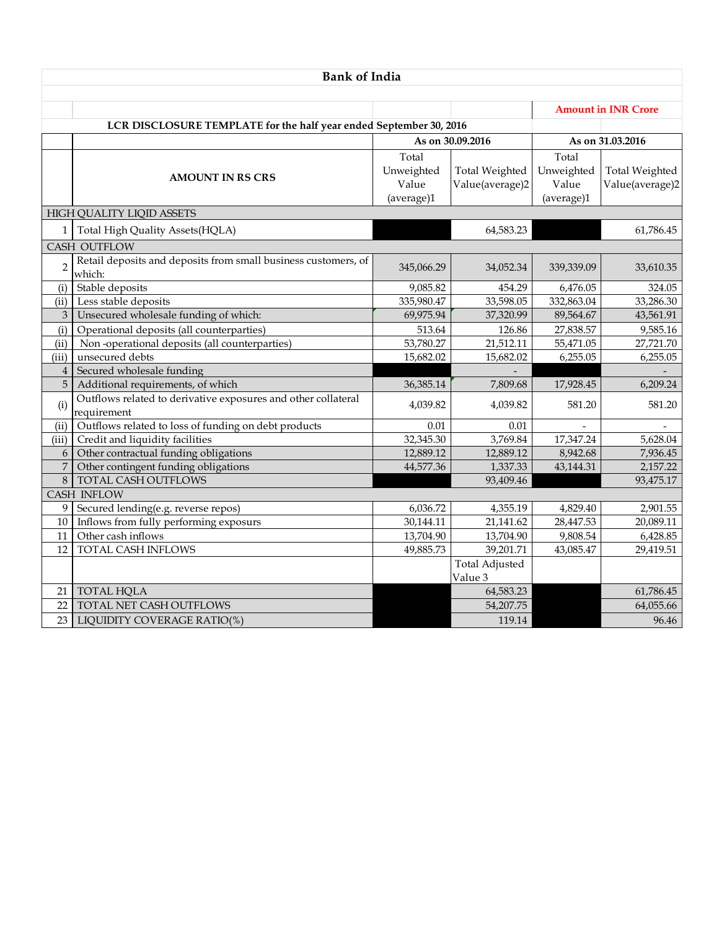| <b>Bank of India</b> |                                                                              |                              |                                          |                              |                                          |  |  |  |  |
|----------------------|------------------------------------------------------------------------------|------------------------------|------------------------------------------|------------------------------|------------------------------------------|--|--|--|--|
|                      |                                                                              |                              |                                          | <b>Amount in INR Crore</b>   |                                          |  |  |  |  |
|                      | LCR DISCLOSURE TEMPLATE for the half year ended September 30, 2016           |                              |                                          |                              |                                          |  |  |  |  |
|                      |                                                                              |                              |                                          |                              |                                          |  |  |  |  |
|                      |                                                                              | As on 30.09.2016             |                                          | As on 31.03.2016             |                                          |  |  |  |  |
|                      | <b>AMOUNT IN RS CRS</b>                                                      | Total<br>Unweighted<br>Value | <b>Total Weighted</b><br>Value(average)2 | Total<br>Unweighted<br>Value | <b>Total Weighted</b><br>Value(average)2 |  |  |  |  |
|                      |                                                                              | (average)1                   |                                          | (average)1                   |                                          |  |  |  |  |
|                      | HIGH QUALITY LIQID ASSETS                                                    |                              |                                          |                              |                                          |  |  |  |  |
| 1                    | Total High Quality Assets(HQLA)                                              |                              | 64,583.23                                |                              | 61,786.45                                |  |  |  |  |
|                      | CASH OUTFLOW                                                                 |                              |                                          |                              |                                          |  |  |  |  |
| $\overline{2}$       | Retail deposits and deposits from small business customers, of<br>which:     | 345,066.29                   | 34,052.34                                | 339,339.09                   | 33,610.35                                |  |  |  |  |
| (i)                  | Stable deposits                                                              | 9,085.82                     | 454.29                                   | 6,476.05                     | 324.05                                   |  |  |  |  |
| (ii)                 | Less stable deposits                                                         | 335,980.47                   | 33,598.05                                | 332,863.04                   | 33,286.30                                |  |  |  |  |
| 3                    | Unsecured wholesale funding of which:                                        | 69,975.94                    | 37,320.99                                | 89,564.67                    | 43,561.91                                |  |  |  |  |
| (i)                  | Operational deposits (all counterparties)                                    | 513.64                       | 126.86                                   | 27,838.57                    | 9,585.16                                 |  |  |  |  |
| (ii)                 | Non-operational deposits (all counterparties)                                | 53,780.27                    | 21,512.11                                | 55,471.05                    | 27,721.70                                |  |  |  |  |
| (iii)                | unsecured debts                                                              | 15,682.02                    | 15,682.02                                | 6,255.05                     | 6,255.05                                 |  |  |  |  |
| $\overline{4}$       | Secured wholesale funding                                                    |                              |                                          |                              |                                          |  |  |  |  |
| 5                    | Additional requirements, of which                                            | 36,385.14                    | 7,809.68                                 | 17,928.45                    | 6,209.24                                 |  |  |  |  |
| (i)                  | Outflows related to derivative exposures and other collateral<br>requirement | 4,039.82                     | 4,039.82                                 | 581.20                       | 581.20                                   |  |  |  |  |
| (ii)                 | Outflows related to loss of funding on debt products                         | 0.01                         | 0.01                                     |                              |                                          |  |  |  |  |
| (iii)                | Credit and liquidity facilities                                              | 32,345.30                    | 3,769.84                                 | 17,347.24                    | 5,628.04                                 |  |  |  |  |
| 6                    | Other contractual funding obligations                                        | 12,889.12                    | 12,889.12                                | 8,942.68                     | 7,936.45                                 |  |  |  |  |
| $\overline{7}$       | Other contingent funding obligations                                         | 44,577.36                    | 1,337.33                                 | 43,144.31                    | 2,157.22                                 |  |  |  |  |
| 8                    | TOTAL CASH OUTFLOWS                                                          |                              | 93,409.46                                |                              | 93,475.17                                |  |  |  |  |
|                      | <b>CASH INFLOW</b>                                                           |                              |                                          |                              |                                          |  |  |  |  |
| 9                    | Secured lending(e.g. reverse repos)                                          | 6,036.72                     | 4,355.19                                 | 4,829.40                     | 2,901.55                                 |  |  |  |  |
| 10                   | Inflows from fully performing exposurs                                       | 30,144.11                    | 21,141.62                                | 28,447.53                    | 20,089.11                                |  |  |  |  |
| 11                   | Other cash inflows                                                           | 13,704.90                    | 13,704.90                                | 9,808.54                     | 6,428.85                                 |  |  |  |  |
| 12                   | <b>TOTAL CASH INFLOWS</b>                                                    | 49,885.73                    | 39,201.71                                | 43,085.47                    | 29,419.51                                |  |  |  |  |
|                      |                                                                              |                              | <b>Total Adjusted</b><br>Value 3         |                              |                                          |  |  |  |  |
| 21                   | <b>TOTAL HQLA</b>                                                            |                              | 64,583.23                                |                              | 61,786.45                                |  |  |  |  |
| 22                   | TOTAL NET CASH OUTFLOWS                                                      |                              | 54,207.75                                |                              | 64,055.66                                |  |  |  |  |
| 23                   | LIQUIDITY COVERAGE RATIO(%)                                                  |                              | 119.14                                   |                              | 96.46                                    |  |  |  |  |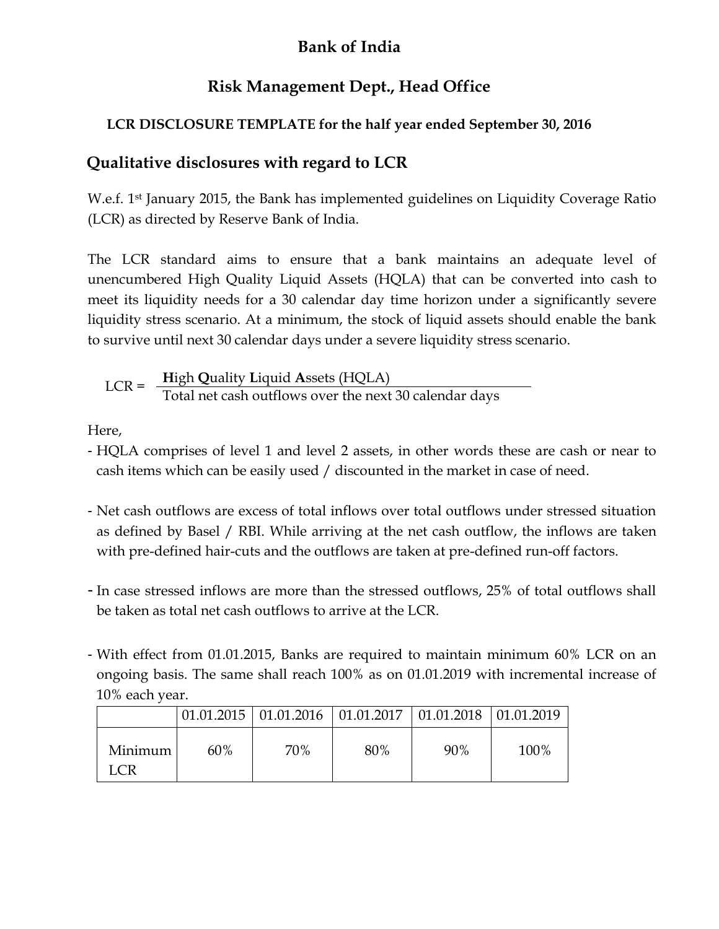## **Bank of India**

## **Risk Management Dept., Head Office**

## **LCR DISCLOSURE TEMPLATE for the half year ended September 30, 2016**

## **Qualitative disclosures with regard to LCR**

W.e.f. 1<sup>st</sup> January 2015, the Bank has implemented guidelines on Liquidity Coverage Ratio (LCR) as directed by Reserve Bank of India.

The LCR standard aims to ensure that a bank maintains an adequate level of unencumbered High Quality Liquid Assets (HQLA) that can be converted into cash to meet its liquidity needs for a 30 calendar day time horizon under a significantly severe liquidity stress scenario. At a minimum, the stock of liquid assets should enable the bank to survive until next 30 calendar days under a severe liquidity stress scenario.

$$
LCR = \frac{High Quality Liquid Assets (HQLA)}{Total net cash outflows over the next 30 calendar days}
$$

Here,

- HQLA comprises of level 1 and level 2 assets, in other words these are cash or near to cash items which can be easily used / discounted in the market in case of need.
- Net cash outflows are excess of total inflows over total outflows under stressed situation as defined by Basel / RBI. While arriving at the net cash outflow, the inflows are taken with pre-defined hair-cuts and the outflows are taken at pre-defined run-off factors.
- In case stressed inflows are more than the stressed outflows, 25% of total outflows shall be taken as total net cash outflows to arrive at the LCR.
- With effect from 01.01.2015, Banks are required to maintain minimum 60% LCR on an ongoing basis. The same shall reach 100% as on 01.01.2019 with incremental increase of 10% each year.

|                |     | $\mid$ 01.01.2015 $\mid$ 01.01.2016 $\mid$ 01.01.2017 $\mid$ 01.01.2018 $\mid$ 01.01.2019 |     |     |      |
|----------------|-----|-------------------------------------------------------------------------------------------|-----|-----|------|
| Minimum<br>LCR | 60% | 70%                                                                                       | 80% | 90% | 100% |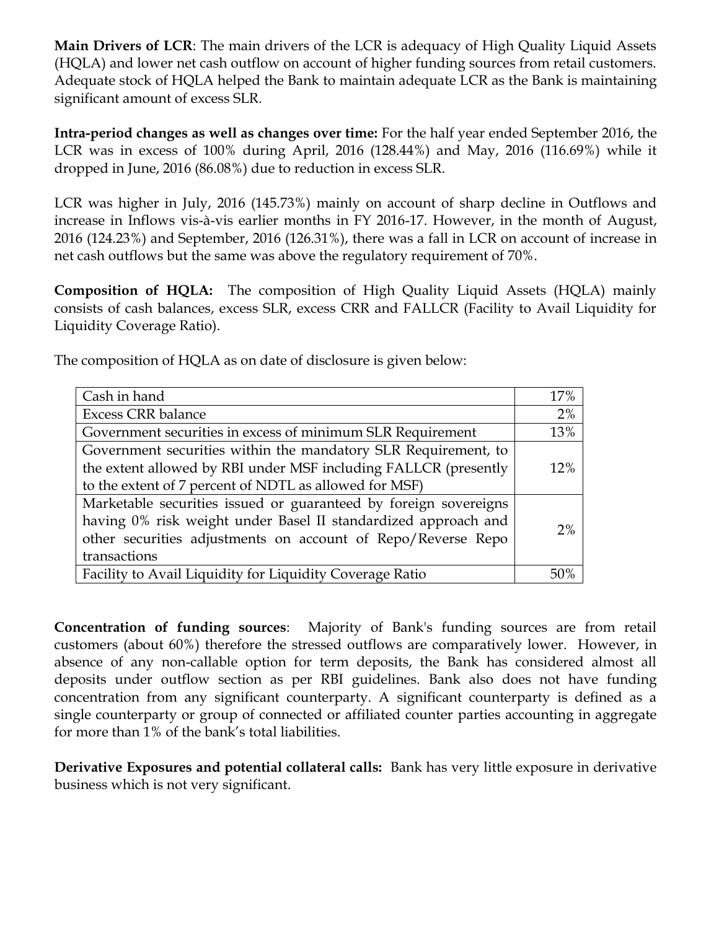**Main Drivers of LCR**: The main drivers of the LCR is adequacy of High Quality Liquid Assets (HQLA) and lower net cash outflow on account of higher funding sources from retail customers. Adequate stock of HQLA helped the Bank to maintain adequate LCR as the Bank is maintaining significant amount of excess SLR.

**Intra-period changes as well as changes over time:** For the half year ended September 2016, the LCR was in excess of 100% during April, 2016 (128.44%) and May, 2016 (116.69%) while it dropped in June, 2016 (86.08%) due to reduction in excess SLR.

LCR was higher in July, 2016 (145.73%) mainly on account of sharp decline in Outflows and increase in Inflows vis-à-vis earlier months in FY 2016-17. However, in the month of August, 2016 (124.23%) and September, 2016 (126.31%), there was a fall in LCR on account of increase in net cash outflows but the same was above the regulatory requirement of 70%.

**Composition of HQLA:** The composition of High Quality Liquid Assets (HQLA) mainly consists of cash balances, excess SLR, excess CRR and FALLCR (Facility to Avail Liquidity for Liquidity Coverage Ratio).

The composition of HQLA as on date of disclosure is given below:

| Cash in hand                                                     | 17% |
|------------------------------------------------------------------|-----|
| <b>Excess CRR balance</b>                                        | 2%  |
| Government securities in excess of minimum SLR Requirement       | 13% |
| Government securities within the mandatory SLR Requirement, to   |     |
| the extent allowed by RBI under MSF including FALLCR (presently  | 12% |
| to the extent of 7 percent of NDTL as allowed for MSF)           |     |
| Marketable securities issued or guaranteed by foreign sovereigns |     |
| having 0% risk weight under Basel II standardized approach and   | 2%  |
| other securities adjustments on account of Repo/Reverse Repo     |     |
| transactions                                                     |     |
| Facility to Avail Liquidity for Liquidity Coverage Ratio         |     |

**Concentration of funding sources**: Majority of Bank's funding sources are from retail customers (about 60%) therefore the stressed outflows are comparatively lower. However, in absence of any non-callable option for term deposits, the Bank has considered almost all deposits under outflow section as per RBI guidelines. Bank also does not have funding concentration from any significant counterparty. A significant counterparty is defined as a single counterparty or group of connected or affiliated counter parties accounting in aggregate for more than 1% of the bank's total liabilities.

**Derivative Exposures and potential collateral calls:** Bank has very little exposure in derivative business which is not very significant.